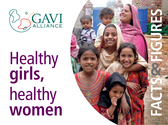

Healthy **girls,** healthy **women**

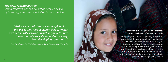*The GAVI Alliance mission: Saving children's lives and protecting people's health by increasing access to immunisation in poor countries.*

*"Africa can't withstand a cancer epidemic… And this is why I am so happy that GAVI has invested in HPV vaccines which is going to shift the burden of cervical cancer deaths away from developing countries…"*

*Her Excellency Dr Christine Kaseba Sata, First Lady of Zambia*

**2013 marks the beginning of a dramatic shift in the health of women and girls.** Starting this year, GAVI is supporting the poorest countries of the world to roll out two vaccines that will directly benefit women and girls. Vaccinating girls with human papillomavirus vaccines will help protect future generations of women against cervical cancer. Rubella vaccine protects babies from birth defects associated with congenital rubella syndrome, and helps to prevent miscarriage and stillbirth.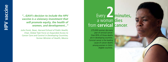*"...GAVI's decision to include the HPV vaccine is a visionary investment that will promote equity, the health of women, and development..."*

*Julio Frenk, Dean, Harvard School of Public Health; Chair, Global Task Force on Expanded Access to Cancer Care and Control in Developing Countries; former Minister of Health, Mexico* 

# Every **2minutes,** a woman **dies** from **cervical cancer** .

275,000 women die every year of cervical cancer. Over 85% of those deaths are in developing countries. Cervical cancer is the leading cause of cancer deaths among women in GAVIeligible countries.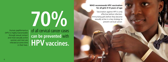Human papillomavirus (HPV) is highly transmissible through sexual contact and most sexually active women and men are infected at some time

and men are  $\parallel$  **HPV** vaccines. of all cervical cancer cases **can be prevented** with

**70%**

**WHO recommends HPV vaccination for all girls 9-13 years of age**

Vaccination against HPV is only effective before infection. Immunising girls before they become sexually active is a key strategy to prevent cervical cancer.

GAVI/2012/Ryan Youngblood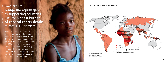*Cervical cancer deaths worldwide* GAVI aims to **bridge the equity gap** by **supporting countries** with the **highest burden of cervical cancer deaths** to access HPV vaccines.

© UNICEF/NYHQ2011-0733/Asselin

Since 2006, HPV vaccines have been introduced into the routine immunisation programmes of over 40 mostly high- and upper middleincome countries. The introduction of HPV vaccines into low-income countries has been slower mainly because of vaccine cost and the challenge of reaching 9-13 year old girls. GAVI is working with partners to address these challenges.



*Source: Globocan 2008, International Agency for Research on Cancer*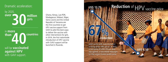### Dramatic acceleration:

**30 million girls** by 2020, **over**

will be **vaccinated against HPV** with GAVI support. **40** in **more** than **A** countries

Ghana, Kenya, Lao PDR, Madagascar, Malawi, Niger, Sierra Leone and the United Republic of Tanzania are the first countries to get HPV vaccine support from GAVI to pilot the best ways to deliver the vaccine with other interventions for girls. In 2014, the first nationwide introduction of HPV vaccine with GAVI support will be launched in Rwanda.

10 11

**reduction 67% US\$ 4.50 Reduction** of HPV vaccine price GAVI works with manufacturers to bring down HPV prices. In 2013, a new price of US\$ 4.50 per dose was agreed, a two-thirds reduction on the current lowest public price.

GAVI/2009/Olivier Asselin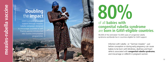UNICEF/2011/Marco Dormino

# **Doubling** the **impact**

GAVI is providing catalytic support through measlesrubella campaigns designed finance vaccine introduction into routine immunisation programmes.

# **80%**

## of all **babies with congenital rubella syndrome** are **born in GAV I-eligible countries** .

90,000 of the estimated 112,000 cases of congenital rubella syndrome worldwide live in countries eligible for GAVI support.

> Infection with rubella - or "German measles" - just before conception or during early pregnancy can cause babies to be born with blindness, deafness and heart defects associated with **congenital rubella syndrome**, and miscarriage or stillbirth in pregnant women.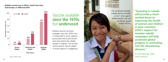*Rubella vaccine use in Africa, South-East Asia and Europe, in 1996 and 2010*



WHO Regions

*Source: WHO, 2012*

# Vaccine available **since the 1970s** but **underused**

Rubella vaccine has been available since the 1970s, but is underused in some regions, particularly Africa and South-East Asia where the rubella burden is highest. The human and economic toll of rubella in those regions is staggering.



*"Investing in rubella will provide a muchneeded boost to improving the health of women and children in poor countries. GAVI's support for measles-rubella campaigns will help accelerate global progress in controlling two life-threatening diseases."*

*Dr Seth Berkley, CEO, GAVI Alliance*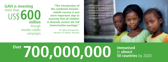**million** through measles-rubella campaigns ore than 600 **GAVI is investing**<br>more than

*"The introduction of the combined measlesrubella vaccine is one more important step to ensuring that all children in Rwanda receive the full immunisation package."*

> *Dr Agnes Binagwaho, Minister of Health, Rwanda*

GAVI's support builds on efforts of the Measles & Rubella Initiative that have helped countries to protect 1.1 billion children against measles since 2001.

**Over** 700,000,000 **immunised** in almost 50 countries by 2020 **immunised**<br>in **almost** 

© UNICEF/NYHQ2012-1477/Dormino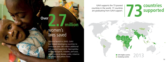

has helped developing countries to immunise over 180 million additional girls against hepatitis B, *Haemophilus influenzae* type B, measles, pertussis, pneumococcal disease, polio, rotavirus diarrhoea and yellow fever.

GAVI supports the 73 poorest countries in the world. 17 countries are graduating from GAVI support.